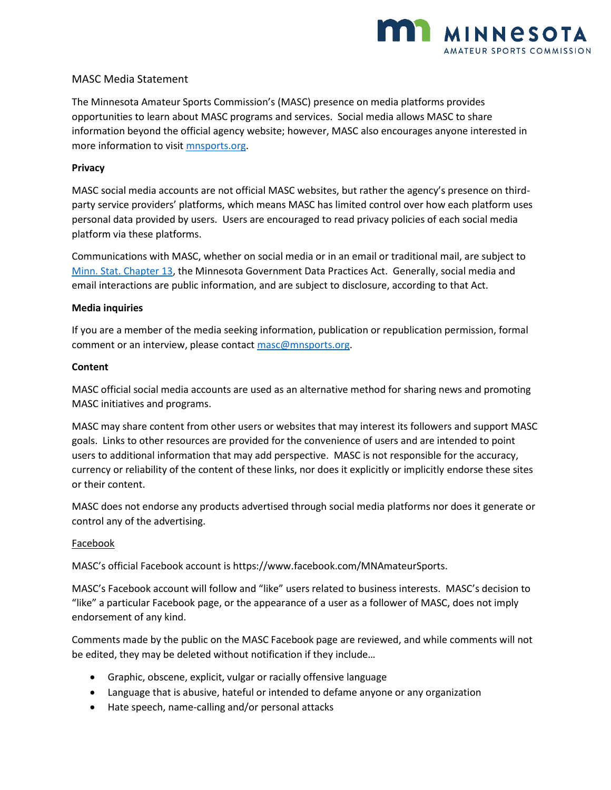

# MASC Media Statement

The Minnesota Amateur Sports Commission's (MASC) presence on media platforms provides opportunities to learn about MASC programs and services. Social media allows MASC to share information beyond the official agency website; however, MASC also encourages anyone interested in more information to visit [mnsports.org.](file://///nscshare01/shared/MASC/Communication/mnsports.org)

## **Privacy**

MASC social media accounts are not official MASC websites, but rather the agency's presence on thirdparty service providers' platforms, which means MASC has limited control over how each platform uses personal data provided by users. Users are encouraged to read privacy policies of each social media platform via these platforms.

Communications with MASC, whether on social media or in an email or traditional mail, are subject to [Minn. Stat. Chapter 13,](https://www.revisor.mn.gov/statutes/cite/13) the Minnesota Government Data Practices Act. Generally, social media and email interactions are public information, and are subject to disclosure, according to that Act.

#### **Media inquiries**

If you are a member of the media seeking information, publication or republication permission, formal comment or an interview, please contact [masc@mnsports.org.](mailto:masc@mnsports.org)

#### **Content**

MASC official social media accounts are used as an alternative method for sharing news and promoting MASC initiatives and programs.

MASC may share content from other users or websites that may interest its followers and support MASC goals. Links to other resources are provided for the convenience of users and are intended to point users to additional information that may add perspective. MASC is not responsible for the accuracy, currency or reliability of the content of these links, nor does it explicitly or implicitly endorse these sites or their content.

MASC does not endorse any products advertised through social media platforms nor does it generate or control any of the advertising.

## Facebook

MASC's official Facebook account is https://www.facebook.com/MNAmateurSports.

MASC's Facebook account will follow and "like" users related to business interests. MASC's decision to "like" a particular Facebook page, or the appearance of a user as a follower of MASC, does not imply endorsement of any kind.

Comments made by the public on the MASC Facebook page are reviewed, and while comments will not be edited, they may be deleted without notification if they include…

- Graphic, obscene, explicit, vulgar or racially offensive language
- Language that is abusive, hateful or intended to defame anyone or any organization
- Hate speech, name-calling and/or personal attacks